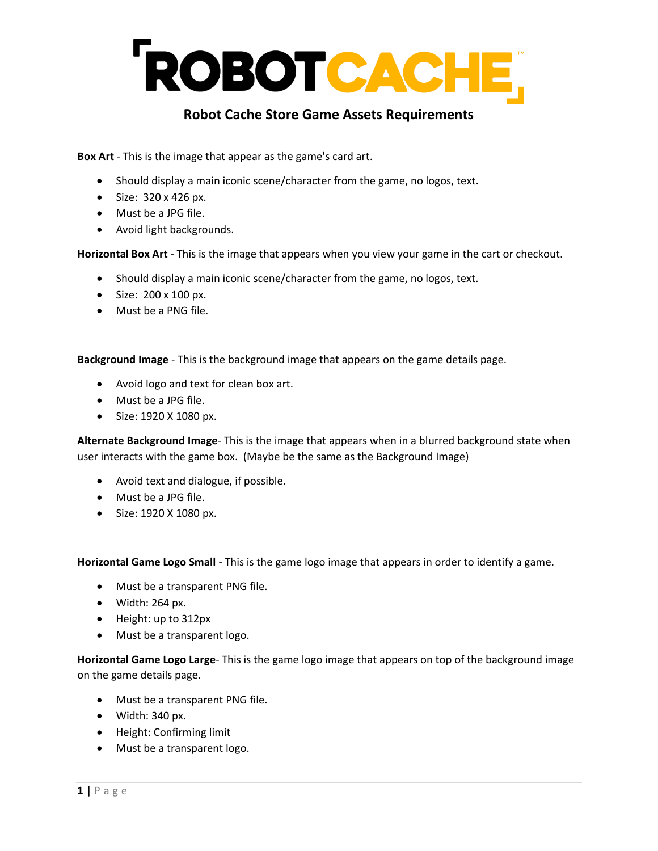## ROBOTCACHE,

## **Robot Cache Store Game Assets Requirements**

**Box Art** - This is the image that appear as the game's card art.

- Should display a main iconic scene/character from the game, no logos, text.
- Size: 320 x 426 px.
- Must be a JPG file.
- Avoid light backgrounds.

**Horizontal Box Art** - This is the image that appears when you view your game in the cart or checkout.

- Should display a main iconic scene/character from the game, no logos, text.
- Size: 200 x 100 px.
- Must be a PNG file.

**Background Image** - This is the background image that appears on the game details page.

- Avoid logo and text for clean box art.
- Must be a JPG file.
- Size: 1920 X 1080 px.

**Alternate Background Image**- This is the image that appears when in a blurred background state when user interacts with the game box. (Maybe be the same as the Background Image)

- Avoid text and dialogue, if possible.
- Must be a JPG file.
- Size: 1920 X 1080 px.

**Horizontal Game Logo Small** - This is the game logo image that appears in order to identify a game.

- Must be a transparent PNG file.
- Width: 264 px.
- Height: up to 312px
- Must be a transparent logo.

**Horizontal Game Logo Large**- This is the game logo image that appears on top of the background image on the game details page.

- Must be a transparent PNG file.
- Width: 340 px.
- Height: Confirming limit
- Must be a transparent logo.